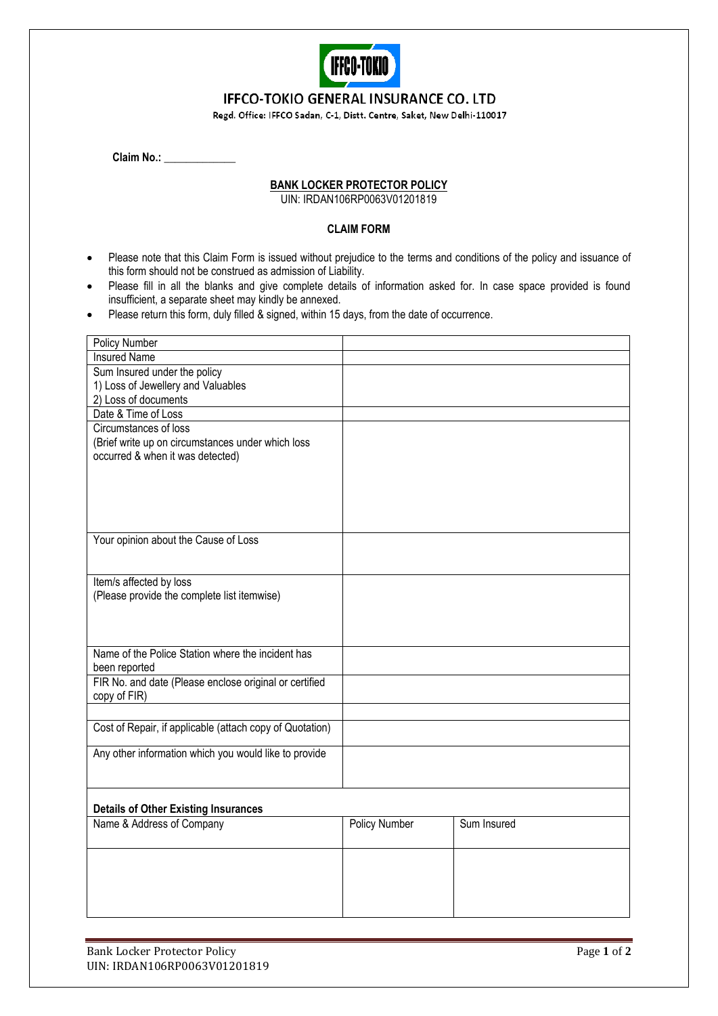

## **IFFCO-TOKIO GENERAL INSURANCE CO. LTD**

Regd. Office: IFFCO Sadan, C-1, Distt. Centre, Saket, New Delhi-110017

| <b>Claim No.:</b> |  |
|-------------------|--|
|                   |  |

## **BANK LOCKER PROTECTOR POLICY**

UIN: IRDAN106RP0063V01201819

## **CLAIM FORM**

- Please note that this Claim Form is issued without prejudice to the terms and conditions of the policy and issuance of this form should not be construed as admission of Liability.
- Please fill in all the blanks and give complete details of information asked for. In case space provided is found insufficient, a separate sheet may kindly be annexed.
- Please return this form, duly filled & signed, within 15 days, from the date of occurrence.

| <b>Policy Number</b>                                     |                      |             |
|----------------------------------------------------------|----------------------|-------------|
| <b>Insured Name</b>                                      |                      |             |
| Sum Insured under the policy                             |                      |             |
| 1) Loss of Jewellery and Valuables                       |                      |             |
| 2) Loss of documents                                     |                      |             |
| Date & Time of Loss                                      |                      |             |
| Circumstances of loss                                    |                      |             |
| (Brief write up on circumstances under which loss        |                      |             |
| occurred & when it was detected)                         |                      |             |
|                                                          |                      |             |
|                                                          |                      |             |
|                                                          |                      |             |
|                                                          |                      |             |
|                                                          |                      |             |
| Your opinion about the Cause of Loss                     |                      |             |
|                                                          |                      |             |
| Item/s affected by loss                                  |                      |             |
| (Please provide the complete list itemwise)              |                      |             |
|                                                          |                      |             |
|                                                          |                      |             |
|                                                          |                      |             |
| Name of the Police Station where the incident has        |                      |             |
| been reported                                            |                      |             |
| FIR No. and date (Please enclose original or certified   |                      |             |
| copy of FIR)                                             |                      |             |
|                                                          |                      |             |
| Cost of Repair, if applicable (attach copy of Quotation) |                      |             |
|                                                          |                      |             |
| Any other information which you would like to provide    |                      |             |
|                                                          |                      |             |
|                                                          |                      |             |
|                                                          |                      |             |
| <b>Details of Other Existing Insurances</b>              |                      |             |
| Name & Address of Company                                | <b>Policy Number</b> | Sum Insured |
|                                                          |                      |             |
|                                                          |                      |             |
|                                                          |                      |             |
|                                                          |                      |             |
|                                                          |                      |             |
|                                                          |                      |             |